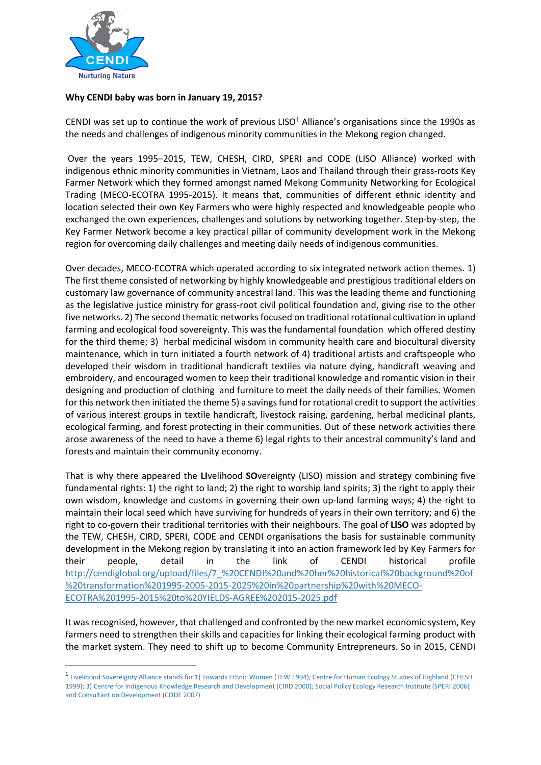

 $\overline{a}$ 

## **Why CENDI baby was born in January 19, 2015?**

CENDI was set up to continue the work of previous LISO $<sup>1</sup>$  Alliance's organisations since the 1990s as</sup> the needs and challenges of indigenous minority communities in the Mekong region changed.

Over the years 1995–2015, TEW, CHESH, CIRD, SPERI and CODE (LISO Alliance) worked with indigenous ethnic minority communities in Vietnam, Laos and Thailand through their grass-roots Key Farmer Network which they formed amongst named Mekong Community Networking for Ecological Trading (MECO-ECOTRA 1995-2015). It means that, communities of different ethnic identity and location selected their own Key Farmers who were highly respected and knowledgeable people who exchanged the own experiences, challenges and solutions by networking together. Step-by-step, the Key Farmer Network become a key practical pillar of community development work in the Mekong region for overcoming daily challenges and meeting daily needs of indigenous communities.

Over decades, MECO-ECOTRA which operated according to six integrated network action themes. 1) The first theme consisted of networking by highly knowledgeable and prestigious traditional elders on customary law governance of community ancestral land. This was the leading theme and functioning as the legislative justice ministry for grass-root civil political foundation and, giving rise to the other five networks. 2) The second thematic networks focused on traditional rotational cultivation in upland farming and ecological food sovereignty. This was the fundamental foundation which offered destiny for the third theme; 3) herbal medicinal wisdom in community health care and biocultural diversity maintenance, which in turn initiated a fourth network of 4) traditional artists and craftspeople who developed their wisdom in traditional handicraft textiles via nature dying, handicraft weaving and embroidery, and encouraged women to keep their traditional knowledge and romantic vision in their designing and production of clothing and furniture to meet the daily needs of their families. Women for this network then initiated the theme 5) a savings fund for rotational credit to support the activities of various interest groups in textile handicraft, livestock raising, gardening, herbal medicinal plants, ecological farming, and forest protecting in their communities. Out of these network activities there arose awareness of the need to have a theme 6) legal rights to their ancestral community's land and forests and maintain their community economy.

That is why there appeared the **LI**velihood **SO**vereignty (LISO) mission and strategy combining five fundamental rights: 1) the right to land; 2) the right to worship land spirits; 3) the right to apply their own wisdom, knowledge and customs in governing their own up-land farming ways; 4) the right to maintain their local seed which have surviving for hundreds of years in their own territory; and 6) the right to co-govern their traditional territories with their neighbours. The goal of **LlSO** was adopted by the TEW, CHESH, CIRD, SPERI, CODE and CENDI organisations the basis for sustainable community development in the Mekong region by translating it into an action framework led by Key Farmers for their people, detail in the link of CENDI historical profile [http://cendiglobal.org/upload/files/7\\_%20CENDI%20and%20her%20historical%20background%20of](http://cendiglobal.org/upload/files/7_%20CENDI%20and%20her%20historical%20background%20of%20transformation%201995-2005-2015-2025%20in%20partnership%20with%20MECO-ECOTRA%201995-2015%20to%20YIELDS-AGREE%202015-2025.pdf) [%20transformation%201995-2005-2015-2025%20in%20partnership%20with%20MECO-](http://cendiglobal.org/upload/files/7_%20CENDI%20and%20her%20historical%20background%20of%20transformation%201995-2005-2015-2025%20in%20partnership%20with%20MECO-ECOTRA%201995-2015%20to%20YIELDS-AGREE%202015-2025.pdf)[ECOTRA%201995-2015%20to%20YIELDS-AGREE%202015-2025.pdf](http://cendiglobal.org/upload/files/7_%20CENDI%20and%20her%20historical%20background%20of%20transformation%201995-2005-2015-2025%20in%20partnership%20with%20MECO-ECOTRA%201995-2015%20to%20YIELDS-AGREE%202015-2025.pdf)

It was recognised, however, that challenged and confronted by the new market economic system, Key farmers need to strengthen their skills and capacities for linking their ecological farming product with the market system. They need to shift up to become Community Entrepreneurs. So in 2015, CENDI

<sup>&</sup>lt;sup>1</sup> Livelihood Sovereignty Alliance stands for 1) Towards Ethnic Women (TEW 1994); Centre for Human Ecology Studies of Highland (CHESH 1999); 3) Centre for Indigenous Knowledge Research and Development (CIRD 2000); Social Policy Ecology Research Institute (SPERI 2006) and Consultant on Development (CODE 2007)